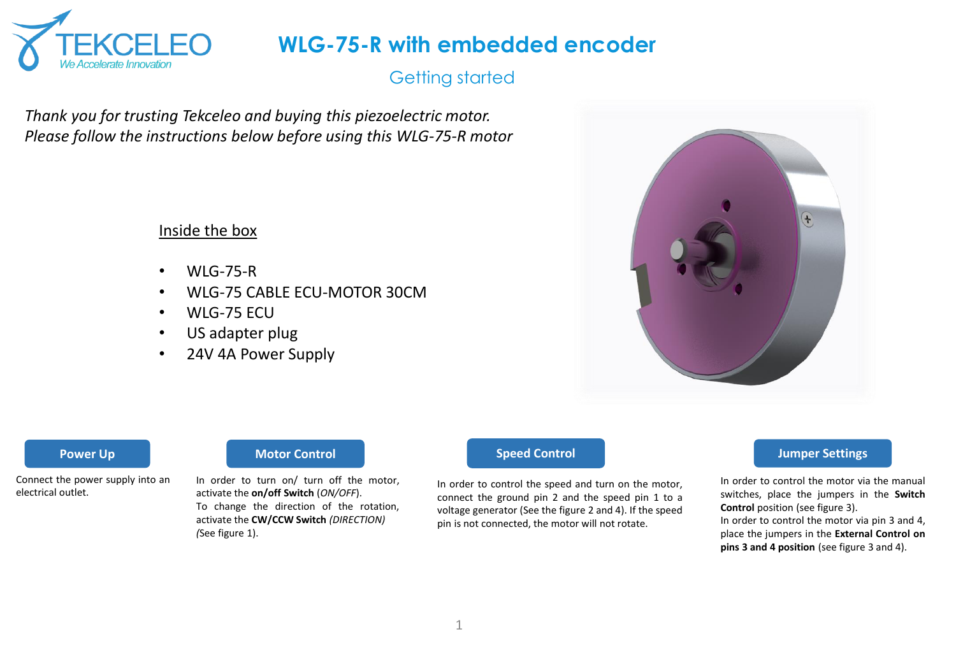

## Getting started

*Thank you for trusting Tekceleo and buying this piezoelectric motor. Please follow the instructions below before using this WLG-75-R motor*

### Inside the box

- $\bullet$  WIG-75-R
- WLG-75 CABLE ECU-MOTOR 30CM
- WLG-75 ECU
- US adapter plug
- 24V 4A Power Supply



Connect the power supply into an electrical outlet.

#### **Power Up Motor Control Motor Control Speed Control**

In order to turn on/ turn off the motor, activate the **on/off Switch** (*ON/OFF*). To change the direction of the rotation, activate the **CW/CCW Switch** *(DIRECTION) (*See figure 1).

In order to control the speed and turn on the motor, connect the ground pin 2 and the speed pin 1 to a voltage generator (See the figure 2 and 4). If the speed pin is not connected, the motor will not rotate.

#### **Jumper Settings**

In order to control the motor via the manual switches, place the jumpers in the **Switch Control** position (see figure 3). In order to control the motor via pin 3 and 4, place the jumpers in the **External Control on**

**pins 3 and 4 position** (see figure 3 and 4).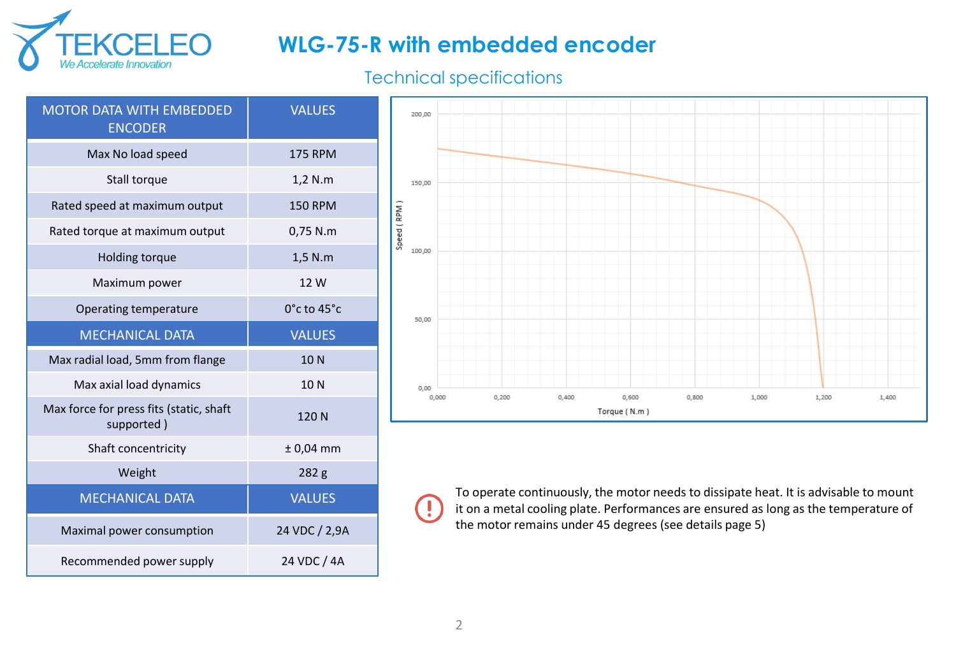

## Technical specifications

| <b>MOTOR DATA WITH EMBEDDED</b><br><b>ENCODER</b>     | <b>VALUES</b>    |
|-------------------------------------------------------|------------------|
| Max No load speed                                     | <b>175 RPM</b>   |
| Stall torque                                          | 1,2 N.m          |
| Rated speed at maximum output                         | <b>150 RPM</b>   |
| Rated torque at maximum output                        | 0,75 N.m         |
| Holding torque                                        | 1,5 N.m          |
| Maximum power                                         | 12 W             |
| Operating temperature                                 | 0°c to 45°c      |
| <b>MECHANICAL DATA</b>                                | <b>VALUES</b>    |
|                                                       |                  |
| Max radial load, 5mm from flange                      | 10N              |
| Max axial load dynamics                               | 10N              |
| Max force for press fits (static, shaft<br>supported) | 120N             |
| Shaft concentricity                                   | $± 0,04$ mm      |
| Weight                                                | 282 <sub>g</sub> |
| <b>MECHANICAL DATA</b>                                | <b>VALUES</b>    |
| Maximal power consumption                             | 24 VDC / 2,9A    |



To operate continuously, the motor needs to dissipate heat. It is advisable to mount it on a metal cooling plate. Performances are ensured as long as the temperature of the motor remains under 45 degrees (see details page 5)

 $\left( \mathbf{l}\right)$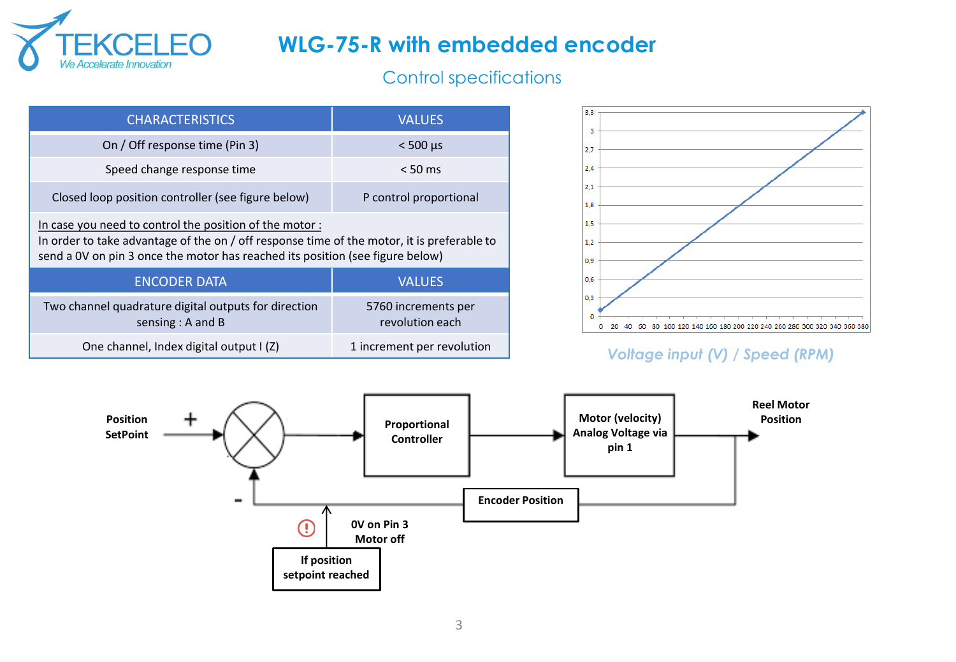

## Control specifications

| <b>CHARACTERISTICS</b>                                                                                                                                                                                                                | <b>VALUES</b>                          |  |  |
|---------------------------------------------------------------------------------------------------------------------------------------------------------------------------------------------------------------------------------------|----------------------------------------|--|--|
| On / Off response time (Pin 3)                                                                                                                                                                                                        | $< 500 \mu s$                          |  |  |
| Speed change response time                                                                                                                                                                                                            | $< 50 \text{ ms}$                      |  |  |
| Closed loop position controller (see figure below)                                                                                                                                                                                    | P control proportional                 |  |  |
| In case you need to control the position of the motor:<br>In order to take advantage of the on / off response time of the motor, it is preferable to<br>send a 0V on pin 3 once the motor has reached its position (see figure below) |                                        |  |  |
| <b>ENCODER DATA</b>                                                                                                                                                                                                                   | <b>VALUES</b>                          |  |  |
| Two channel quadrature digital outputs for direction<br>sensing: A and B                                                                                                                                                              | 5760 increments per<br>revolution each |  |  |
| One channel, Index digital output I (Z)                                                                                                                                                                                               | 1 increment per revolution             |  |  |



### *Voltage input (V) / Speed (RPM)*

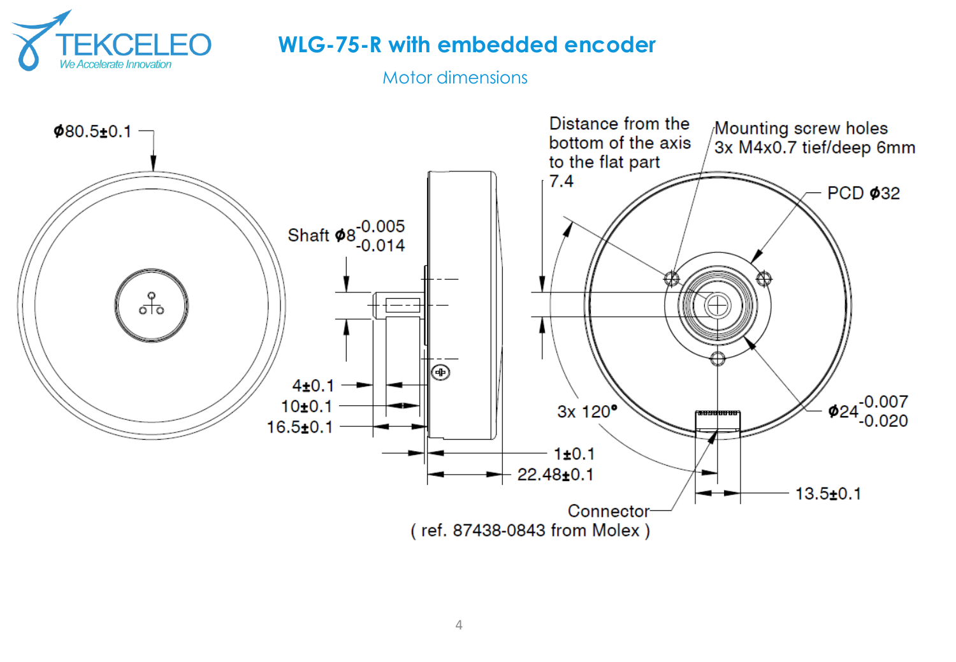

Motor dimensions

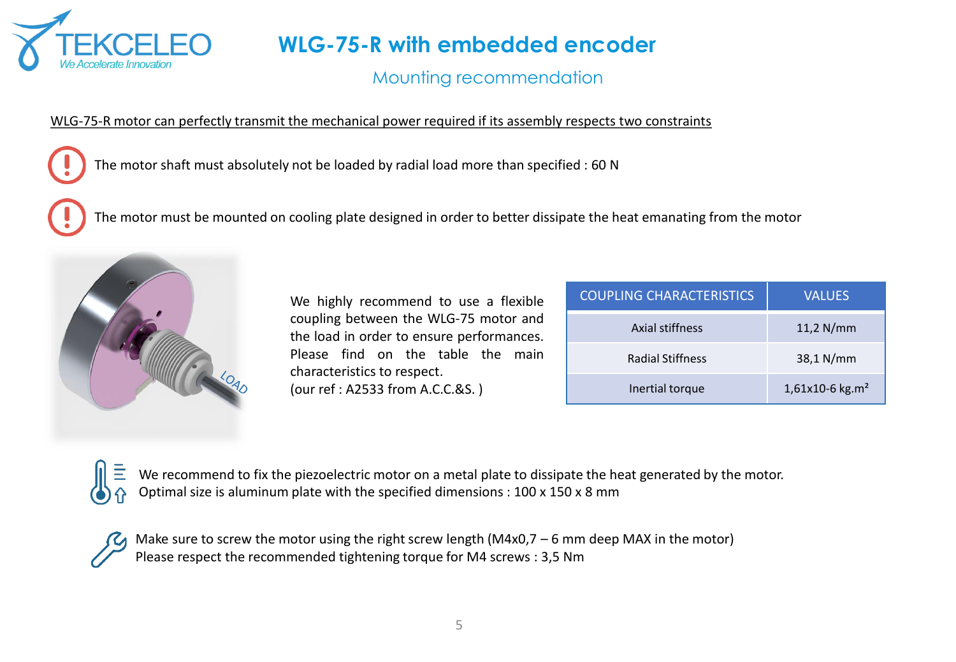

## Mounting recommendation

#### WLG-75-R motor can perfectly transmit the mechanical power required if its assembly respects two constraints

The motor shaft must absolutely not be loaded by radial load more than specified : 60 N

The motor must be mounted on cooling plate designed in order to better dissipate the heat emanating from the motor



We highly recommend to use a flexible coupling between the WLG-75 motor and the load in order to ensure performances. Please find on the table the main characteristics to respect. (our ref : A2533 from A.C.C.&S. )

| <b>COUPLING CHARACTERISTICS</b> | <b>VALUES</b>     |
|---------------------------------|-------------------|
| Axial stiffness                 | $11,2$ N/mm       |
| <b>Radial Stiffness</b>         | 38,1 N/mm         |
| Inertial torque                 | 1,61x10-6 $kg.m2$ |

We recommend to fix the piezoelectric motor on a metal plate to dissipate the heat generated by the motor. Optimal size is aluminum plate with the specified dimensions : 100 x 150 x 8 mm



Make sure to screw the motor using the right screw length (M4x0,7 – 6 mm deep MAX in the motor) Please respect the recommended tightening torque for M4 screws : 3,5 Nm